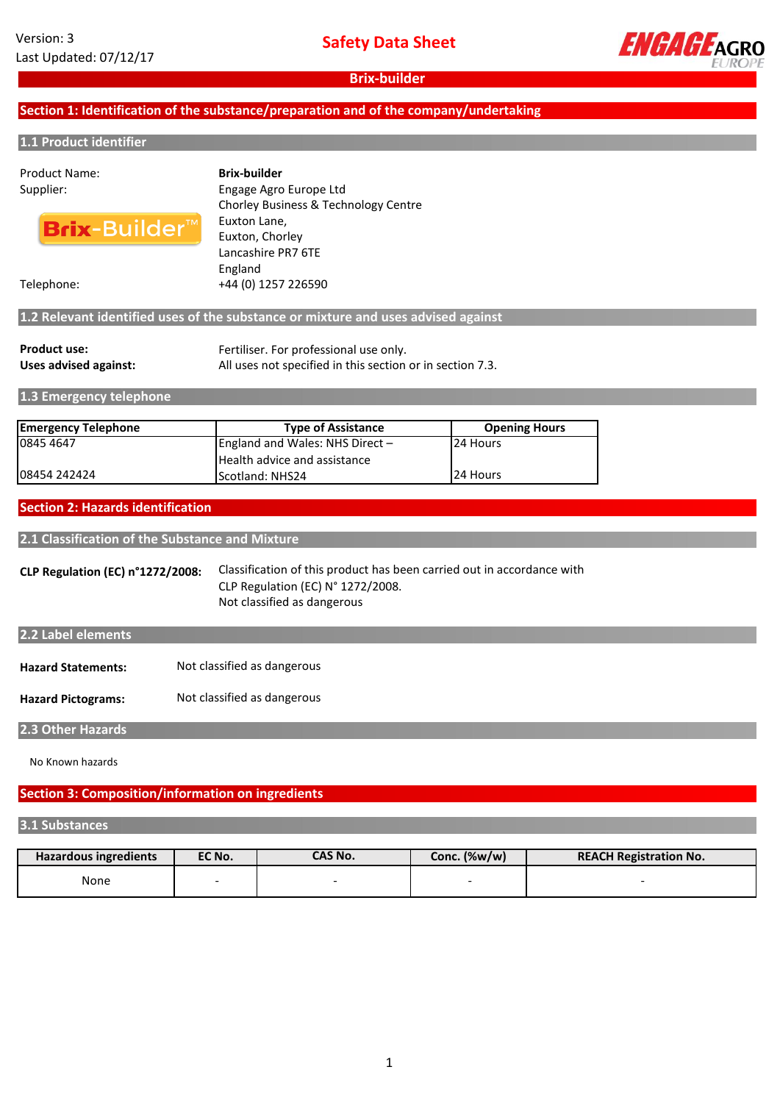

# **Section 1: Identification of the substance/preparation and of the company/undertaking**

#### **1.1 Product identifier**

# Product Name:



Supplier: Engage Agro Europe Ltd Chorley Business & Technology Centre Euxton Lane, Euxton, Chorley Lancashire PR7 6TE England Telephone: +44 (0) 1257 226590 **Brix-builder**

# **1.2 Relevant identified uses of the substance or mixture and uses advised against**

| <b>Product use:</b>   | Fertiliser. For professional use only.                    |  |
|-----------------------|-----------------------------------------------------------|--|
| Uses advised against: | All uses not specified in this section or in section 7.3. |  |

**1.3 Emergency telephone**

| <b>Emergency Telephone</b> | <b>Type of Assistance</b>       | <b>Opening Hours</b> |  |
|----------------------------|---------------------------------|----------------------|--|
| 0845 4647                  | England and Wales: NHS Direct - | <b>24 Hours</b>      |  |
|                            | Health advice and assistance    |                      |  |
| 108454 242424              | Scotland: NHS24                 | 24 Hours             |  |

#### **Section 2: Hazards identification**

**2.1 Classification of the Substance and Mixture**

**CLP Regulation (EC) n°1272/2008:** Classification of this product has been carried out in accordance with CLP Regulation (EC) N° 1272/2008. Not classified as dangerous

# **2.2 Label elements**

| <b>Hazard Statements:</b> | Not classified as dangerous |
|---------------------------|-----------------------------|
|---------------------------|-----------------------------|

**Hazard Pictograms:** Not classified as dangerous

**2.3 Other Hazards**

No Known hazards

## **Section 3: Composition/information on ingredients**

#### **3.1 Substances**

| <b>Hazardous ingredients</b> | EC No. | CAS No. | Conc. (%w/w) | <b>REACH Registration No.</b> |
|------------------------------|--------|---------|--------------|-------------------------------|
| None                         |        |         |              |                               |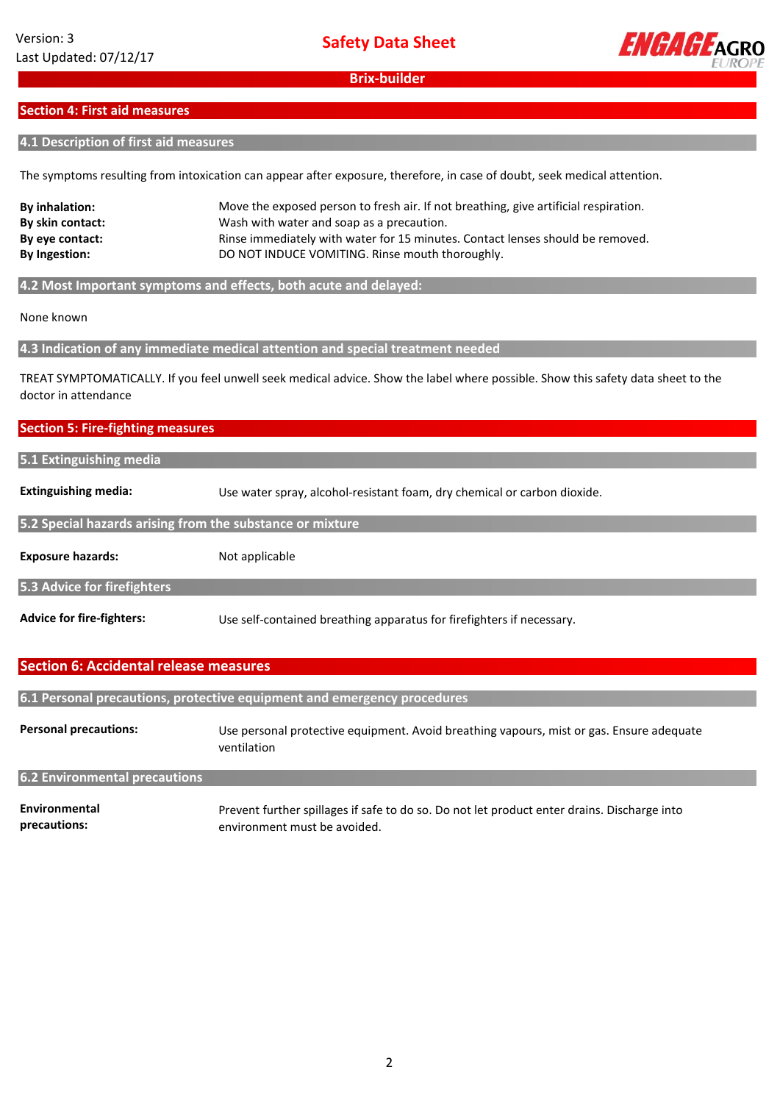

#### **Section 4: First aid measures**

#### **4.1 Description of first aid measures**

The symptoms resulting from intoxication can appear after exposure, therefore, in case of doubt, seek medical attention.

| <b>By inhalation:</b> | Move the exposed person to fresh air. If not breathing, give artificial respiration. |
|-----------------------|--------------------------------------------------------------------------------------|
| By skin contact:      | Wash with water and soap as a precaution.                                            |
| By eye contact:       | Rinse immediately with water for 15 minutes. Contact lenses should be removed.       |
| <b>By Ingestion:</b>  | DO NOT INDUCE VOMITING. Rinse mouth thoroughly.                                      |
|                       |                                                                                      |

**4.2 Most Important symptoms and effects, both acute and delayed:**

None known

**4.3 Indication of any immediate medical attention and special treatment needed**

TREAT SYMPTOMATICALLY. If you feel unwell seek medical advice. Show the label where possible. Show this safety data sheet to the doctor in attendance

#### **Section 5: Fire-fighting measures**

# **5.1 Extinguishing media**

**Extinguishing media:** Use water spray, alcohol-resistant foam, dry chemical or carbon dioxide.

#### **5.2 Special hazards arising from the substance or mixture**

**Exposure hazards:** Not applicable

**5.3 Advice for firefighters**

**Advice for fire-fighters:** Use self-contained breathing apparatus for firefighters if necessary.

#### **Section 6: Accidental release measures**

**6.1 Personal precautions, protective equipment and emergency procedures**

**Personal precautions:** Use personal protective equipment. Avoid breathing vapours, mist or gas. Ensure adequate ventilation

## **6.2 Environmental precautions**

**Environmental precautions:** Prevent further spillages if safe to do so. Do not let product enter drains. Discharge into environment must be avoided.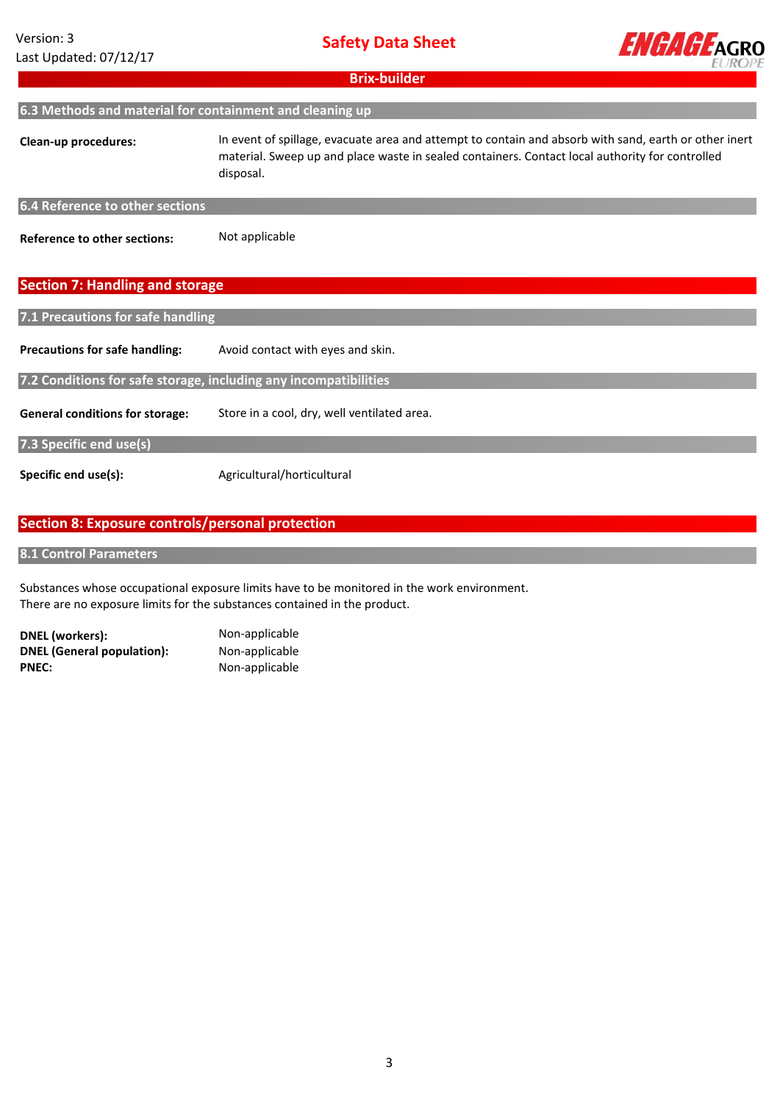| Version: 3             |
|------------------------|
| Last Updated: 07/12/17 |



| <b>Brix-builder</b>                                              |                                                                                                                                                                                                                       |  |  |  |
|------------------------------------------------------------------|-----------------------------------------------------------------------------------------------------------------------------------------------------------------------------------------------------------------------|--|--|--|
| 6.3 Methods and material for containment and cleaning up         |                                                                                                                                                                                                                       |  |  |  |
| Clean-up procedures:                                             | In event of spillage, evacuate area and attempt to contain and absorb with sand, earth or other inert<br>material. Sweep up and place waste in sealed containers. Contact local authority for controlled<br>disposal. |  |  |  |
| 6.4 Reference to other sections                                  |                                                                                                                                                                                                                       |  |  |  |
| <b>Reference to other sections:</b>                              | Not applicable                                                                                                                                                                                                        |  |  |  |
| <b>Section 7: Handling and storage</b>                           |                                                                                                                                                                                                                       |  |  |  |
| 7.1 Precautions for safe handling                                |                                                                                                                                                                                                                       |  |  |  |
| <b>Precautions for safe handling:</b>                            | Avoid contact with eyes and skin.                                                                                                                                                                                     |  |  |  |
| 7.2 Conditions for safe storage, including any incompatibilities |                                                                                                                                                                                                                       |  |  |  |
| <b>General conditions for storage:</b>                           | Store in a cool, dry, well ventilated area.                                                                                                                                                                           |  |  |  |
| 7.3 Specific end use(s)                                          |                                                                                                                                                                                                                       |  |  |  |
| Specific end use(s):                                             | Agricultural/horticultural                                                                                                                                                                                            |  |  |  |
|                                                                  |                                                                                                                                                                                                                       |  |  |  |

# **Section 8: Exposure controls/personal protection**

**8.1 Control Parameters**

Substances whose occupational exposure limits have to be monitored in the work environment. There are no exposure limits for the substances contained in the product.

**DNEL (workers):** Non-applicable<br> **DNEL (General population):** Non-applicable **DNEL (General population):**<br>PNEC:

**PNEC:** Non-applicable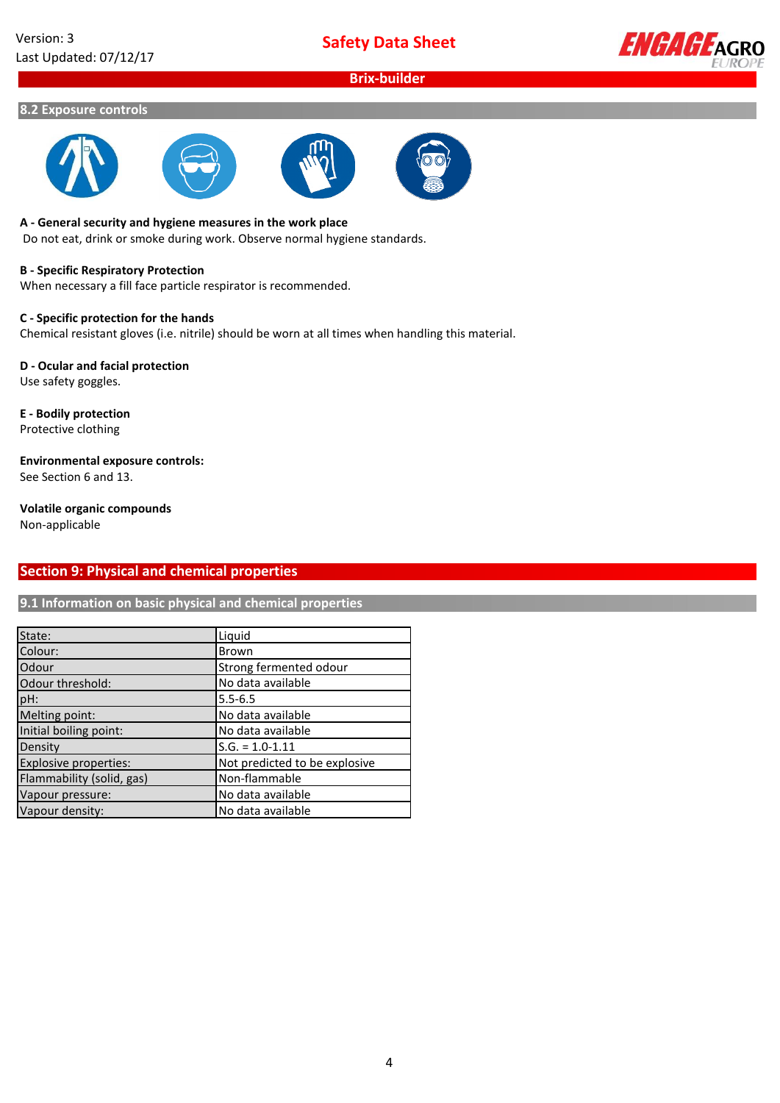**Safety Data Sheet**

# **Brix-builder**



#### **8.2 Exposure controls**









#### **A - General security and hygiene measures in the work place**

Do not eat, drink or smoke during work. Observe normal hygiene standards.

#### **B - Specific Respiratory Protection**

When necessary a fill face particle respirator is recommended.

# **C - Specific protection for the hands**

Chemical resistant gloves (i.e. nitrile) should be worn at all times when handling this material.

#### **D - Ocular and facial protection** Use safety goggles.

**E - Bodily protection** Protective clothing

**Environmental exposure controls:**

See Section 6 and 13.

# **Volatile organic compounds**

Non-applicable

# **Section 9: Physical and chemical properties**

**9.1 Information on basic physical and chemical properties**

| State:                    | Liquid                        |
|---------------------------|-------------------------------|
| Colour:                   | Brown                         |
| Odour                     | Strong fermented odour        |
| Odour threshold:          | No data available             |
| $ pH$ :                   | $5.5 - 6.5$                   |
| Melting point:            | No data available             |
| Initial boiling point:    | No data available             |
| Density                   | $S.G. = 1.0 - 1.11$           |
| Explosive properties:     | Not predicted to be explosive |
| Flammability (solid, gas) | Non-flammable                 |
| Vapour pressure:          | No data available             |
| Vapour density:           | No data available             |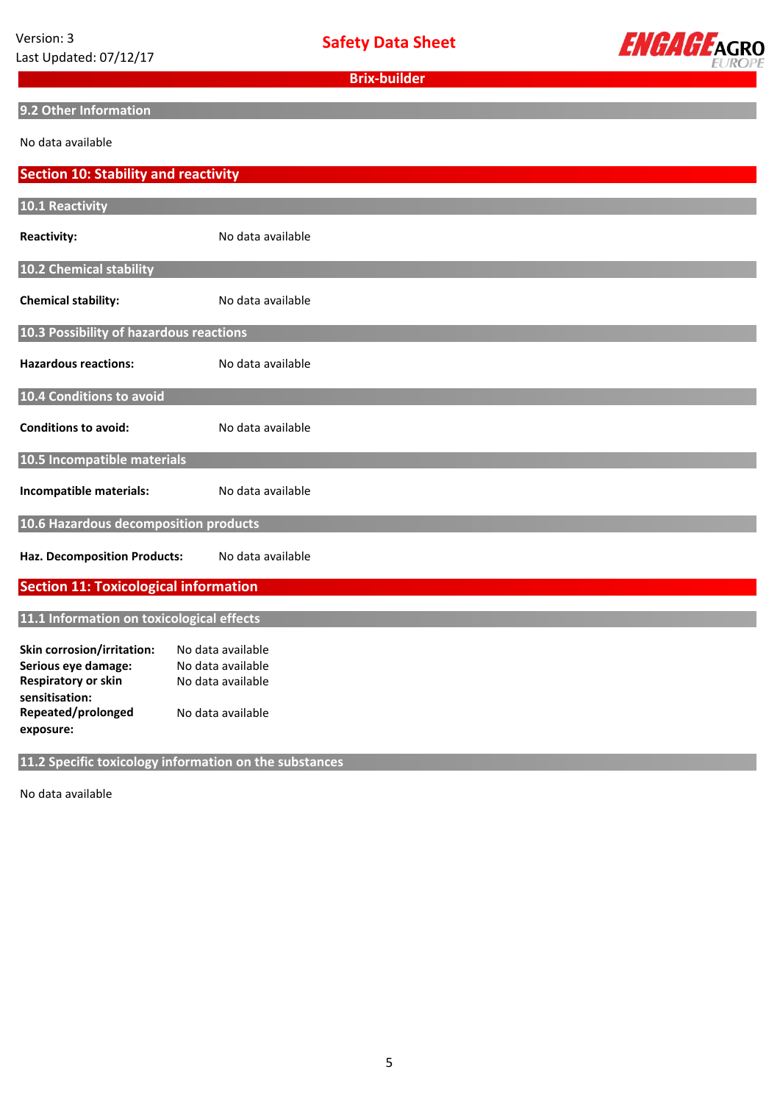**Safety Data Sheet**



**Brix-builder**

# **9.2 Other Information**

No data available

| <b>Section 10: Stability and reactivity</b>       |                                                        |  |  |  |
|---------------------------------------------------|--------------------------------------------------------|--|--|--|
| 10.1 Reactivity                                   |                                                        |  |  |  |
|                                                   |                                                        |  |  |  |
| <b>Reactivity:</b>                                | No data available                                      |  |  |  |
| 10.2 Chemical stability                           |                                                        |  |  |  |
|                                                   |                                                        |  |  |  |
| <b>Chemical stability:</b>                        | No data available                                      |  |  |  |
| 10.3 Possibility of hazardous reactions           |                                                        |  |  |  |
| <b>Hazardous reactions:</b>                       | No data available                                      |  |  |  |
|                                                   |                                                        |  |  |  |
| 10.4 Conditions to avoid                          |                                                        |  |  |  |
| <b>Conditions to avoid:</b>                       | No data available                                      |  |  |  |
|                                                   |                                                        |  |  |  |
| 10.5 Incompatible materials                       |                                                        |  |  |  |
| Incompatible materials:                           | No data available                                      |  |  |  |
|                                                   |                                                        |  |  |  |
| 10.6 Hazardous decomposition products             |                                                        |  |  |  |
| <b>Haz. Decomposition Products:</b>               | No data available                                      |  |  |  |
|                                                   |                                                        |  |  |  |
| <b>Section 11: Toxicological information</b>      |                                                        |  |  |  |
| 11.1 Information on toxicological effects         |                                                        |  |  |  |
|                                                   |                                                        |  |  |  |
| Skin corrosion/irritation:<br>Serious eye damage: | No data available<br>No data available                 |  |  |  |
| <b>Respiratory or skin</b>                        | No data available                                      |  |  |  |
| sensitisation:                                    |                                                        |  |  |  |
| Repeated/prolonged                                | No data available                                      |  |  |  |
| exposure:                                         |                                                        |  |  |  |
|                                                   |                                                        |  |  |  |
|                                                   | 11.2 Specific toxicology information on the substances |  |  |  |

No data available **available**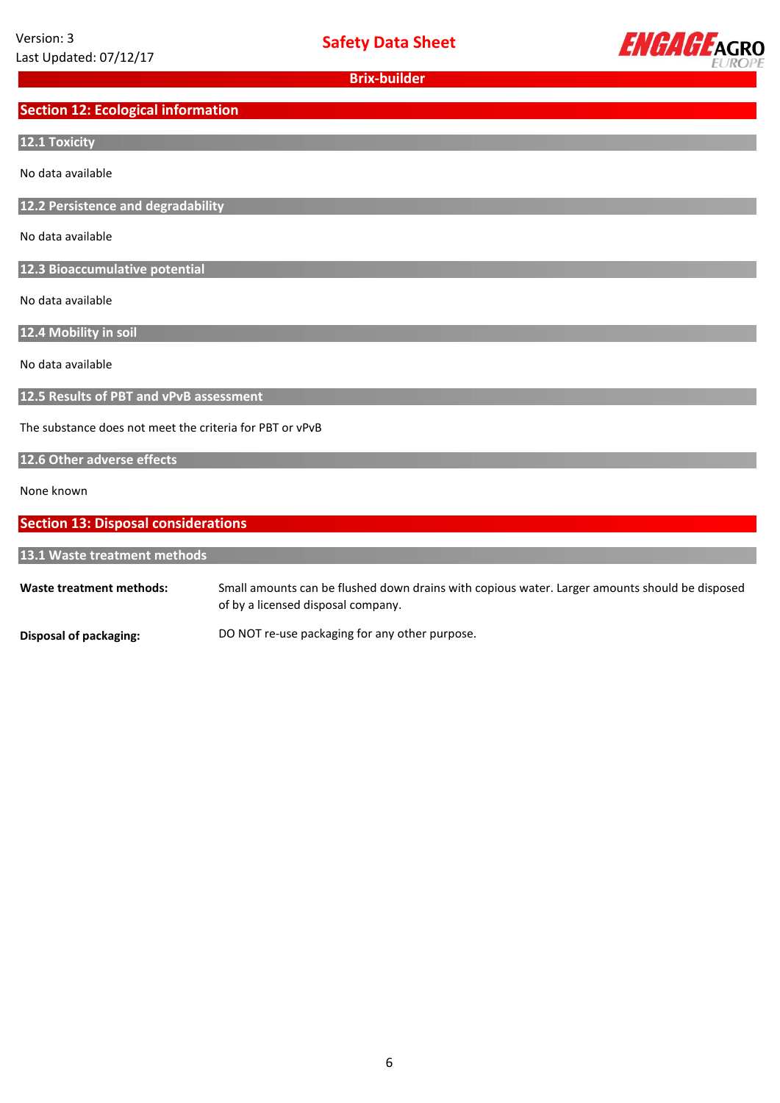

# **Section 12: Ecological information**

## **12.1 Toxicity**

No data available

**12.2 Persistence and degradability**

No data available

**12.3 Bioaccumulative potential**

No data available

**12.4 Mobility in soil**

No data available

**12.5 Results of PBT and vPvB assessment**

The substance does not meet the criteria for PBT or vPvB

#### **12.6 Other adverse effects**

None known

# **Section 13: Disposal considerations**

**13.1 Waste treatment methods**

**Waste treatment methods:** Small amounts can be flushed down drains with copious water. Larger amounts should be disposed of by a licensed disposal company.

**Disposal of packaging:** DO NOT re-use packaging for any other purpose.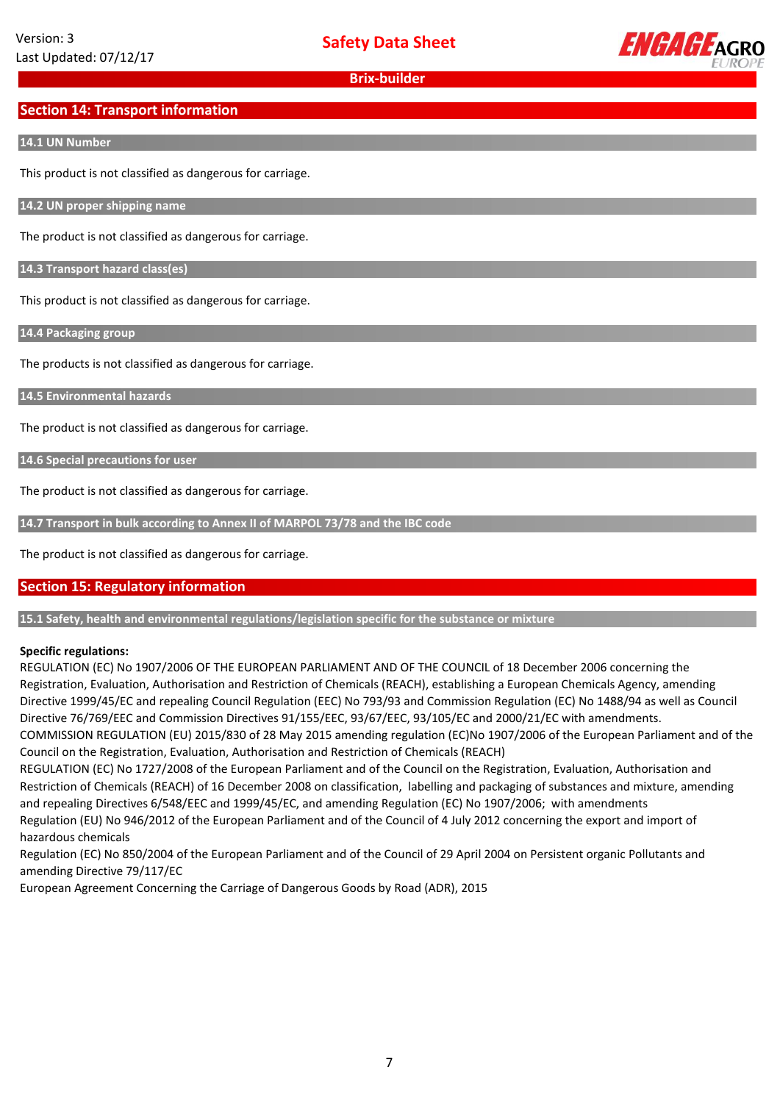

# **Section 14: Transport information**

#### **14.1 UN Number**

This product is not classified as dangerous for carriage.

**14.2 UN proper shipping name**

The product is not classified as dangerous for carriage.

**14.3 Transport hazard class(es)**

This product is not classified as dangerous for carriage.

**14.4 Packaging group**

The products is not classified as dangerous for carriage.

**14.5 Environmental hazards**

The product is not classified as dangerous for carriage.

**14.6 Special precautions for user**

The product is not classified as dangerous for carriage.

**14.7 Transport in bulk according to Annex II of MARPOL 73/78 and the IBC code**

The product is not classified as dangerous for carriage.

# **Section 15: Regulatory information**

**15.1 Safety, health and environmental regulations/legislation specific for the substance or mixture**

# **Specific regulations:**

REGULATION (EC) No 1907/2006 OF THE EUROPEAN PARLIAMENT AND OF THE COUNCIL of 18 December 2006 concerning the Registration, Evaluation, Authorisation and Restriction of Chemicals (REACH), establishing a European Chemicals Agency, amending Directive 1999/45/EC and repealing Council Regulation (EEC) No 793/93 and Commission Regulation (EC) No 1488/94 as well as Council Directive 76/769/EEC and Commission Directives 91/155/EEC, 93/67/EEC, 93/105/EC and 2000/21/EC with amendments. COMMISSION REGULATION (EU) 2015/830 of 28 May 2015 amending regulation (EC)No 1907/2006 of the European Parliament and of the

Council on the Registration, Evaluation, Authorisation and Restriction of Chemicals (REACH)

REGULATION (EC) No 1727/2008 of the European Parliament and of the Council on the Registration, Evaluation, Authorisation and Restriction of Chemicals (REACH) of 16 December 2008 on classification, labelling and packaging of substances and mixture, amending and repealing Directives 6/548/EEC and 1999/45/EC, and amending Regulation (EC) No 1907/2006; with amendments Regulation (EU) No 946/2012 of the European Parliament and of the Council of 4 July 2012 concerning the export and import of hazardous chemicals

Regulation (EC) No 850/2004 of the European Parliament and of the Council of 29 April 2004 on Persistent organic Pollutants and amending Directive 79/117/EC

European Agreement Concerning the Carriage of Dangerous Goods by Road (ADR), 2015